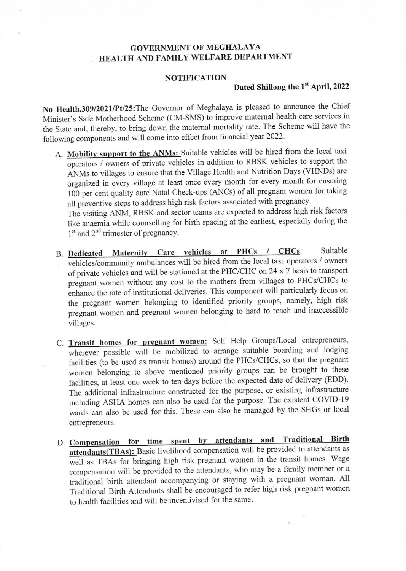## GOVERNMENT OF MEGHALAYA HEALTH AND FAMILY WELFARE DEPARTMENT

## **NOTIFICATION**

## Dated Shillong the 1<sup>st</sup> April, 2022

No Health.309/2021/Pt/25: The Governor of Meghalaya is pleased to announce the Chief Minister's Safe Motherhood Scheme (CM-SMS) to improve matemal health care services in the State and, thereby, to bring down the matemal mortality rate. The Scheme will have the following components and will come into effect from financial year 2022.

A. Mobility support to the ANMs: Suitable vehicles will be hired from the local taxi operators / owners of private vehic les in addition to RBSK vehicles to support the ANMs to villages to ensure that the Village Health and Nutrition Days (VHNDs) are organized in every village at least once every month for every month for ensuring 100 per cent quality ante Natal Check-ups (ANCs) of all pregnant women for taking all preventive steps to address high risk factors associated with pregnancy.

The visiting ANM, RBSK and sector teams are expected to address high risk factors like anaemia while counselling for birth spacing at the earliest, especially during the 1<sup>st</sup> and 2<sup>nd</sup> trimester of pregnancy

- B. Dedicated Maternity Care vehicles at PHCs / CHCs: Suitable vehicles/community ambulances will be hired from the local taxi operators / owners of private vehicles and will be stationed at the PHC/CHC on 24 x  $7$  basis to transport pregnant women without any cost to the mothers from villages to PHCs/CHCs to enhance the rate of institutional deliveries. This component will particularly focus on enhance the rate of institutional deliveries. This component will particularly focus on the pregnant women belonging to identified priority groups, namely, high risk pregnant women and pregnant women belonging to hard to reach and inaccessible villages.
- C. Transit homes for pregnant women: Self Help Groups/Local entrepreneurs, wherever possible will be mobilized to arrange suitable boarding and lodging facilities (to be used as transit homes) around the PHCs/C HCs, so that the pregnant women belonging to above mentioned priority groups can be brought to these facilities, at least one week to ten days before the expecte d date of delivery (EDD). The additionat infrastructure constructed for the purpose, or existing infrastructure including ASHA homes can also be used for the purpose. The existent COVID-19 wards can also be used for this. These can also be managed by the SHGs or local entrepreneurs.
- D. Compensation for time spent by attendants and Traditional Birth attendants (TBAs): Basic livelihood compensation will be provided to attendants as well as TBAs for bringing high risk pregnant women in the transit homes. Wage compensation will be provided to the attendants, who may be a family member or <sup>a</sup> tradiiional birth attendant accompanying or staying with a pregnant woman All Traditional Birth Attendants shall be encouraged to refer high risk pregnant women to health facilities and will be incentivised for the same.